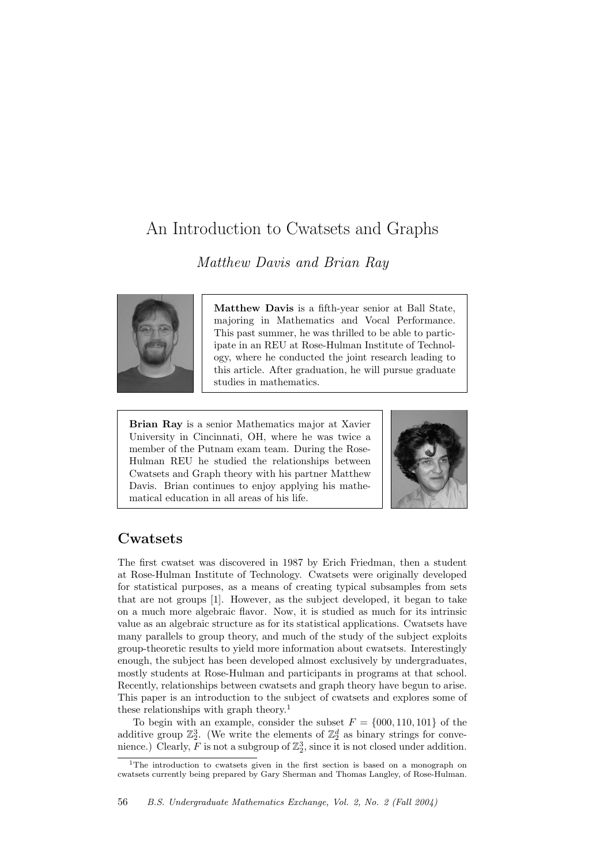# An Introduction to Cwatsets and Graphs

Matthew Davis and Brian Ray



Matthew Davis is a fifth-year senior at Ball State, majoring in Mathematics and Vocal Performance. This past summer, he was thrilled to be able to participate in an REU at Rose-Hulman Institute of Technology, where he conducted the joint research leading to this article. After graduation, he will pursue graduate studies in mathematics.

Brian Ray is a senior Mathematics major at Xavier University in Cincinnati, OH, where he was twice a member of the Putnam exam team. During the Rose-Hulman REU he studied the relationships between Cwatsets and Graph theory with his partner Matthew Davis. Brian continues to enjoy applying his mathematical education in all areas of his life.



## Cwatsets

The first cwatset was discovered in 1987 by Erich Friedman, then a student at Rose-Hulman Institute of Technology. Cwatsets were originally developed for statistical purposes, as a means of creating typical subsamples from sets that are not groups [1]. However, as the subject developed, it began to take on a much more algebraic flavor. Now, it is studied as much for its intrinsic value as an algebraic structure as for its statistical applications. Cwatsets have many parallels to group theory, and much of the study of the subject exploits group-theoretic results to yield more information about cwatsets. Interestingly enough, the subject has been developed almost exclusively by undergraduates, mostly students at Rose-Hulman and participants in programs at that school. Recently, relationships between cwatsets and graph theory have begun to arise. This paper is an introduction to the subject of cwatsets and explores some of these relationships with graph theory.<sup>1</sup>

To begin with an example, consider the subset  $F = \{000, 110, 101\}$  of the additive group  $\mathbb{Z}_2^3$ . (We write the elements of  $\mathbb{Z}_2^d$  as binary strings for convenience.) Clearly,  $\overline{F}$  is not a subgroup of  $\mathbb{Z}_2^3$ , since it is not closed under addition.

<sup>1</sup>The introduction to cwatsets given in the first section is based on a monograph on cwatsets currently being prepared by Gary Sherman and Thomas Langley, of Rose-Hulman.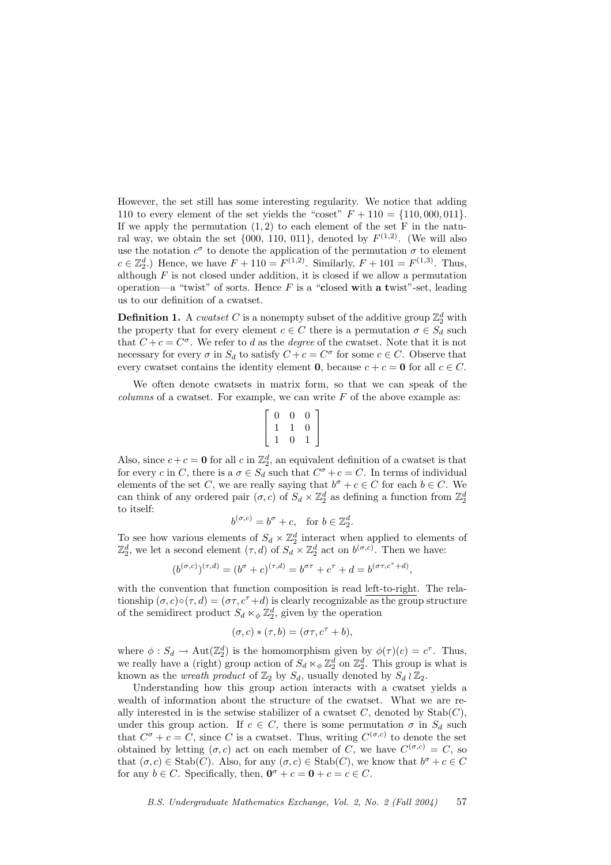However, the set still has some interesting regularity. We notice that adding 110 to every element of the set yields the "coset"  $F + 110 = \{110,000,011\}.$ If we apply the permutation  $(1, 2)$  to each element of the set F in the natural way, we obtain the set  $\{000, 110, 011\}$ , denoted by  $F^{(1,2)}$ . (We will also use the notation  $c^{\sigma}$  to denote the application of the permutation  $\sigma$  to element  $c \in \mathbb{Z}_2^d$ .) Hence, we have  $F + 110 = F^{(1,2)}$ . Similarly,  $F + 101 = F^{(1,3)}$ . Thus, although  $F$  is not closed under addition, it is closed if we allow a permutation operation—a "twist" of sorts. Hence  $F$  is a "closed with a twist"-set, leading us to our definition of a cwatset.

**Definition 1.** A *cwatset* C is a nonempty subset of the additive group  $\mathbb{Z}_2^d$  with the property that for every element  $c \in C$  there is a permutation  $\sigma \in S_d$  such that  $C + c = C^{\sigma}$ . We refer to d as the degree of the cwatset. Note that it is not necessary for every  $\sigma$  in  $S_d$  to satisfy  $C + c = C^{\sigma}$  for some  $c \in C$ . Observe that every cwatset contains the identity element **0**, because  $c + c = \mathbf{0}$  for all  $c \in C$ .

We often denote cwatsets in matrix form, so that we can speak of the *columns* of a cwatset. For example, we can write  $F$  of the above example as:

$$
\left[\begin{array}{ccc} 0 & 0 & 0 \\ 1 & 1 & 0 \\ 1 & 0 & 1 \end{array}\right]
$$

Also, since  $c + c = 0$  for all  $c$  in  $\mathbb{Z}_2^d$ , an equivalent definition of a cwatset is that for every c in C, there is a  $\sigma \in S_d$  such that  $C^{\sigma} + c = C$ . In terms of individual elements of the set C, we are really saying that  $b^{\sigma} + c \in C$  for each  $b \in C$ . We can think of any ordered pair  $(\sigma, c)$  of  $S_d \times \mathbb{Z}_2^d$  as defining a function from  $\mathbb{Z}_2^d$ to itself:

$$
b^{(\sigma,c)} = b^{\sigma} + c, \text{ for } b \in \mathbb{Z}_2^d.
$$

To see how various elements of  $S_d \times \mathbb{Z}_2^d$  interact when applied to elements of  $\mathbb{Z}_2^d$ , we let a second element  $(\tau, d)$  of  $S_d \times \mathbb{Z}_2^d$  act on  $b^{(\sigma, c)}$ . Then we have:

$$
(b^{(\sigma,c)})^{(\tau,d)} = (b^{\sigma} + c)^{(\tau,d)} = b^{\sigma\tau} + c^{\tau} + d = b^{(\sigma\tau,c^{\tau} + d)},
$$

with the convention that function composition is read left-to-right. The relationship  $(\sigma, c) \circ (\tau, d) = (\sigma \tau, c^{\tau} + d)$  is clearly recognizable as the group structure of the semidirect product  $S_d \ltimes_{\phi} \mathbb{Z}_2^d$ , given by the operation

$$
(\sigma, c) * (\tau, b) = (\sigma \tau, c^{\tau} + b),
$$

where  $\phi : S_d \to \text{Aut}(\mathbb{Z}_2^d)$  is the homomorphism given by  $\phi(\tau)(c) = c^{\tau}$ . Thus, we really have a (right) group action of  $S_d \ltimes_{\phi} \mathbb{Z}_2^d$  on  $\mathbb{Z}_2^d$ . This group is what is known as the *wreath product* of  $\mathbb{Z}_2$  by  $S_d$ , usually denoted by  $S_d \wr \mathbb{Z}_2$ .

Understanding how this group action interacts with a cwatset yields a wealth of information about the structure of the cwatset. What we are really interested in is the setwise stabilizer of a cwatset  $C$ , denoted by  $\text{Stab}(C)$ , under this group action. If  $c \in C$ , there is some permutation  $\sigma$  in  $S_d$  such that  $C^{\sigma} + c = C$ , since C is a cwatset. Thus, writing  $C^{(\sigma,c)}$  to denote the set obtained by letting  $(\sigma, c)$  act on each member of C, we have  $C^{(\sigma, c)} = C$ , so that  $(\sigma, c) \in \text{Stab}(C)$ . Also, for any  $(\sigma, c) \in \text{Stab}(C)$ , we know that  $b^{\sigma} + c \in C$ for any  $b \in C$ . Specifically, then,  $\mathbf{0}^{\sigma} + c = \mathbf{0} + c = c \in C$ .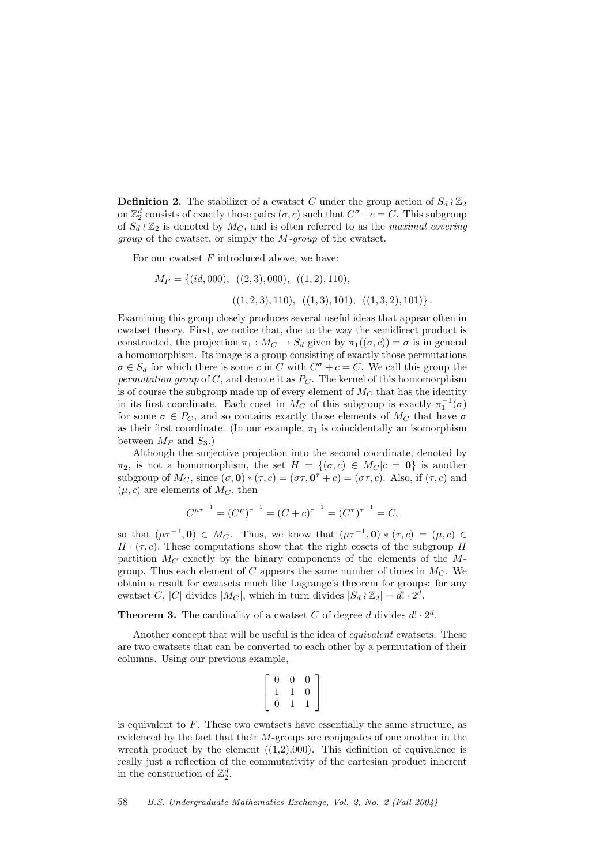**Definition 2.** The stabilizer of a cwatset C under the group action of  $S_d \wr \mathbb{Z}_2$ on  $\mathbb{Z}_2^d$  consists of exactly those pairs  $(\sigma, c)$  such that  $C^{\sigma} + c = C$ . This subgroup of  $S_d \wr \mathbb{Z}_2$  is denoted by  $M_C$ , and is often referred to as the maximal covering group of the cwatset, or simply the M-group of the cwatset.

For our cwatset  $F$  introduced above, we have:

$$
M_F = \{ (id, 000), \ ( (2, 3), 000), \ ( (1, 2), 110), \ ( (1, 3, 2), 101) \}, \ ( (1, 2, 3), 110), \ ( (1, 3), 101), \ ( (1, 3, 2), 101) \}.
$$

Examining this group closely produces several useful ideas that appear often in cwatset theory. First, we notice that, due to the way the semidirect product is constructed, the projection  $\pi_1 : M_C \to S_d$  given by  $\pi_1((\sigma, c)) = \sigma$  is in general a homomorphism. Its image is a group consisting of exactly those permutations  $\sigma \in S_d$  for which there is some c in C with  $C^{\sigma} + c = C$ . We call this group the permutation group of C, and denote it as  $P<sub>C</sub>$ . The kernel of this homomorphism is of course the subgroup made up of every element of  $M_C$  that has the identity in its first coordinate. Each coset in  $\overrightarrow{M_C}$  of this subgroup is exactly  $\pi_1^{-1}(\sigma)$ for some  $\sigma \in P_C$ , and so contains exactly those elements of  $M_C$  that have  $\sigma$ as their first coordinate. (In our example,  $\pi_1$  is coincidentally an isomorphism between  $M_F$  and  $S_3$ .)

Although the surjective projection into the second coordinate, denoted by  $\pi_2$ , is not a homomorphism, the set  $H = \{(\sigma, c) \in M_C | c = 0\}$  is another subgroup of  $M_C$ , since  $(\sigma, \mathbf{0}) * (\tau, c) = (\sigma \tau, \mathbf{0}^{\tau} + c) = (\sigma \tau, c)$ . Also, if  $(\tau, c)$  and  $(\mu, c)$  are elements of  $M_C$ , then

$$
C^{\mu\tau^{-1}} = (C^{\mu})^{\tau^{-1}} = (C + c)^{\tau^{-1}} = (C^{\tau})^{\tau^{-1}} = C,
$$

so that  $(\mu \tau^{-1}, 0) \in M_C$ . Thus, we know that  $(\mu \tau^{-1}, 0) * (\tau, c) = (\mu, c) \in$  $H \cdot (\tau, c)$ . These computations show that the right cosets of the subgroup H partition  $M_C$  exactly by the binary components of the elements of the Mgroup. Thus each element of C appears the same number of times in  $M_C$ . We obtain a result for cwatsets much like Lagrange's theorem for groups: for any cwatset C, |C| divides  $|M_C|$ , which in turn divides  $|S_d \wr \mathbb{Z}_2| = d! \cdot 2^{\overline{d}}$ .

**Theorem 3.** The cardinality of a cwatset C of degree d divides  $d! \cdot 2^d$ .

Another concept that will be useful is the idea of equivalent cwatsets. These are two cwatsets that can be converted to each other by a permutation of their columns. Using our previous example,

$$
\left[\begin{array}{ccc} 0 & 0 & 0 \\ 1 & 1 & 0 \\ 0 & 1 & 1 \end{array}\right]
$$

is equivalent to  $F$ . These two cwatsets have essentially the same structure, as evidenced by the fact that their M-groups are conjugates of one another in the wreath product by the element  $((1,2),000)$ . This definition of equivalence is really just a reflection of the commutativity of the cartesian product inherent in the construction of  $\mathbb{Z}_2^d$ .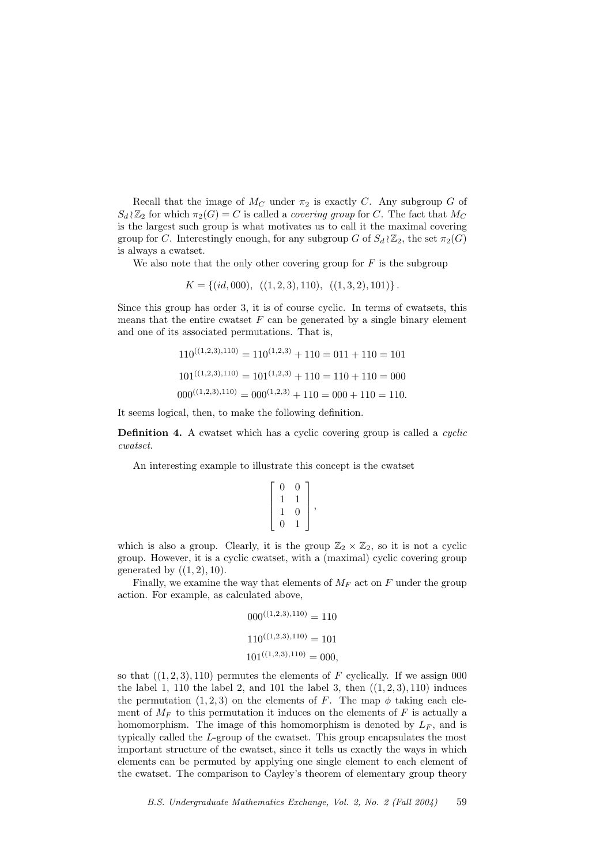Recall that the image of  $M_C$  under  $\pi_2$  is exactly C. Any subgroup G of  $S_d \wr \mathbb{Z}_2$  for which  $\pi_2(G) = C$  is called a *covering group* for C. The fact that  $M_C$ is the largest such group is what motivates us to call it the maximal covering group for C. Interestingly enough, for any subgroup G of  $S_d \wr \mathbb{Z}_2$ , the set  $\pi_2(G)$ is always a cwatset.

We also note that the only other covering group for  $F$  is the subgroup

$$
K = \{(id, 000), ((1, 2, 3), 110), ((1, 3, 2), 101)\}.
$$

Since this group has order 3, it is of course cyclic. In terms of cwatsets, this means that the entire cwatset  $F$  can be generated by a single binary element and one of its associated permutations. That is,

$$
110^{((1,2,3),110)} = 110^{(1,2,3)} + 110 = 011 + 110 = 101
$$
  

$$
101^{((1,2,3),110)} = 101^{(1,2,3)} + 110 = 110 + 110 = 000
$$
  

$$
000^{((1,2,3),110)} = 000^{(1,2,3)} + 110 = 000 + 110 = 110.
$$

It seems logical, then, to make the following definition.

Definition 4. A cwatset which has a cyclic covering group is called a *cyclic* cwatset.

An interesting example to illustrate this concept is the cwatset

$$
\left[\begin{array}{cc} 0 & 0 \\ 1 & 1 \\ 1 & 0 \\ 0 & 1 \end{array}\right],
$$

which is also a group. Clearly, it is the group  $\mathbb{Z}_2 \times \mathbb{Z}_2$ , so it is not a cyclic group. However, it is a cyclic cwatset, with a (maximal) cyclic covering group generated by  $((1, 2), 10)$ .

Finally, we examine the way that elements of  $M_F$  act on F under the group action. For example, as calculated above,

$$
000^{((1,2,3),110)} = 110
$$
  

$$
110^{((1,2,3),110)} = 101
$$
  

$$
101^{((1,2,3),110)} = 000,
$$

so that  $((1, 2, 3), 110)$  permutes the elements of F cyclically. If we assign 000 the label 1, 110 the label 2, and 101 the label 3, then  $((1, 2, 3), 110)$  induces the permutation  $(1, 2, 3)$  on the elements of F. The map  $\phi$  taking each element of  $M_F$  to this permutation it induces on the elements of F is actually a homomorphism. The image of this homomorphism is denoted by  $L_F$ , and is typically called the L-group of the cwatset. This group encapsulates the most important structure of the cwatset, since it tells us exactly the ways in which elements can be permuted by applying one single element to each element of the cwatset. The comparison to Cayley's theorem of elementary group theory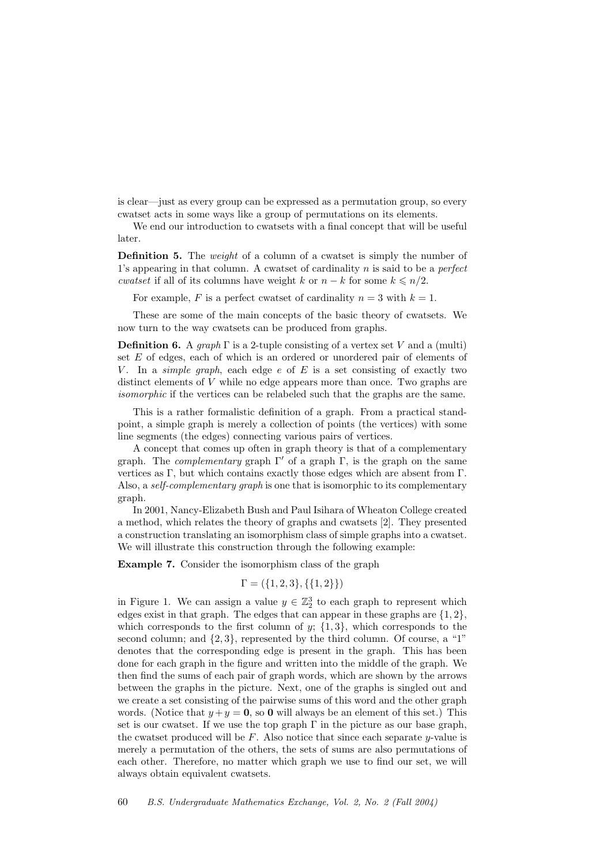is clear—just as every group can be expressed as a permutation group, so every cwatset acts in some ways like a group of permutations on its elements.

We end our introduction to cwatsets with a final concept that will be useful later.

**Definition 5.** The *weight* of a column of a cwatset is simply the number of 1's appearing in that column. A cwatset of cardinality  $n$  is said to be a *perfect cwatset* if all of its columns have weight k or  $n - k$  for some  $k \leq n/2$ .

For example, F is a perfect cwatset of cardinality  $n = 3$  with  $k = 1$ .

These are some of the main concepts of the basic theory of cwatsets. We now turn to the way cwatsets can be produced from graphs.

**Definition 6.** A graph  $\Gamma$  is a 2-tuple consisting of a vertex set V and a (multi) set E of edges, each of which is an ordered or unordered pair of elements of V. In a simple graph, each edge  $e$  of  $E$  is a set consisting of exactly two distinct elements of V while no edge appears more than once. Two graphs are isomorphic if the vertices can be relabeled such that the graphs are the same.

This is a rather formalistic definition of a graph. From a practical standpoint, a simple graph is merely a collection of points (the vertices) with some line segments (the edges) connecting various pairs of vertices.

A concept that comes up often in graph theory is that of a complementary graph. The *complementary* graph  $\Gamma'$  of a graph  $\Gamma$ , is the graph on the same vertices as Γ, but which contains exactly those edges which are absent from Γ. Also, a *self-complementary graph* is one that is isomorphic to its complementary graph.

In 2001, Nancy-Elizabeth Bush and Paul Isihara of Wheaton College created a method, which relates the theory of graphs and cwatsets [2]. They presented a construction translating an isomorphism class of simple graphs into a cwatset. We will illustrate this construction through the following example:

Example 7. Consider the isomorphism class of the graph

$$
\Gamma = (\{1, 2, 3\}, \{\{1, 2\}\})
$$

in Figure 1. We can assign a value  $y \in \mathbb{Z}_2^3$  to each graph to represent which edges exist in that graph. The edges that can appear in these graphs are  $\{1, 2\}$ , which corresponds to the first column of  $y$ ;  $\{1,3\}$ , which corresponds to the second column; and  $\{2,3\}$ , represented by the third column. Of course, a "1" denotes that the corresponding edge is present in the graph. This has been done for each graph in the figure and written into the middle of the graph. We then find the sums of each pair of graph words, which are shown by the arrows between the graphs in the picture. Next, one of the graphs is singled out and we create a set consisting of the pairwise sums of this word and the other graph words. (Notice that  $y + y = 0$ , so 0 will always be an element of this set.) This set is our cwatset. If we use the top graph  $\Gamma$  in the picture as our base graph, the cwatset produced will be  $F$ . Also notice that since each separate y-value is merely a permutation of the others, the sets of sums are also permutations of each other. Therefore, no matter which graph we use to find our set, we will always obtain equivalent cwatsets.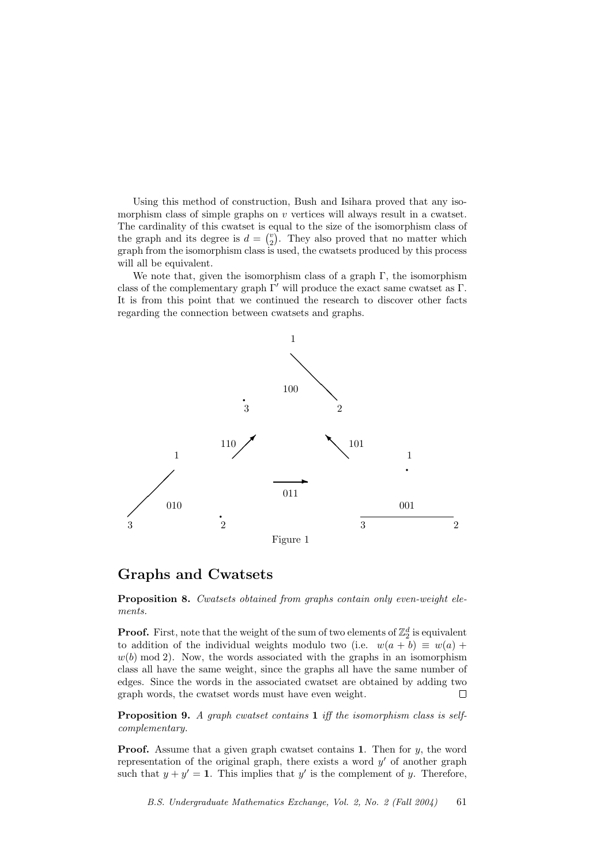Using this method of construction, Bush and Isihara proved that any isomorphism class of simple graphs on  $v$  vertices will always result in a cwatset. The cardinality of this cwatset is equal to the size of the isomorphism class of the graph and its degree is  $d = \binom{v}{2}$ . They also proved that no matter which graph from the isomorphism class is used, the cwatsets produced by this process will all be equivalent.

We note that, given the isomorphism class of a graph  $\Gamma$ , the isomorphism class of the complementary graph  $\Gamma'$  will produce the exact same cwatset as Γ. It is from this point that we continued the research to discover other facts regarding the connection between cwatsets and graphs.



#### Graphs and Cwatsets

Proposition 8. Cwatsets obtained from graphs contain only even-weight elements.

**Proof.** First, note that the weight of the sum of two elements of  $\mathbb{Z}_2^d$  is equivalent to addition of the individual weights modulo two (i.e.  $w(a + b) \equiv w(a) + b$  $w(b) \mod 2$ . Now, the words associated with the graphs in an isomorphism class all have the same weight, since the graphs all have the same number of edges. Since the words in the associated cwatset are obtained by adding two graph words, the cwatset words must have even weight.  $\Box$ 

Proposition 9. A graph cwatset contains 1 iff the isomorphism class is selfcomplementary.

**Proof.** Assume that a given graph cwatset contains 1. Then for  $y$ , the word representation of the original graph, there exists a word  $y'$  of another graph such that  $y + y' = 1$ . This implies that y' is the complement of y. Therefore,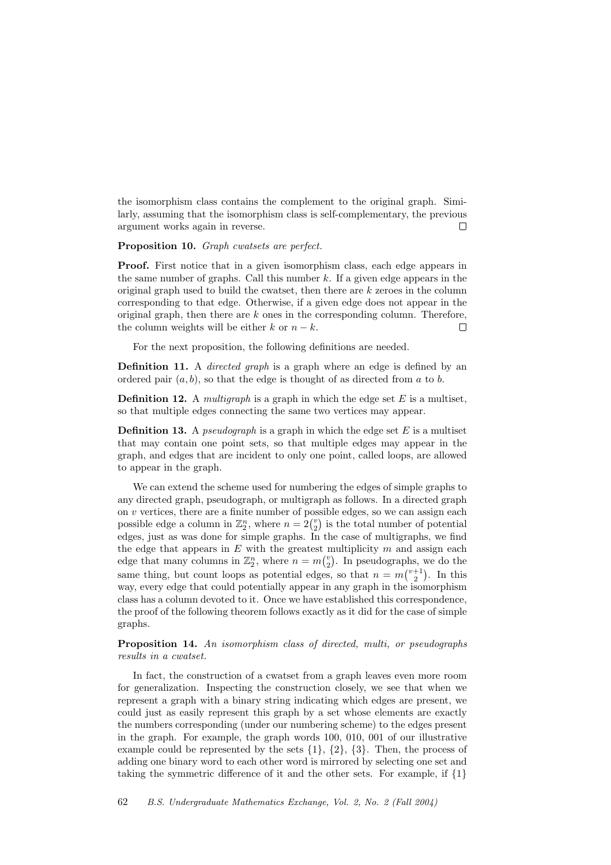the isomorphism class contains the complement to the original graph. Similarly, assuming that the isomorphism class is self-complementary, the previous argument works again in reverse.  $\Box$ 

Proposition 10. Graph cwatsets are perfect.

Proof. First notice that in a given isomorphism class, each edge appears in the same number of graphs. Call this number  $k$ . If a given edge appears in the original graph used to build the cwatset, then there are  $k$  zeroes in the column corresponding to that edge. Otherwise, if a given edge does not appear in the original graph, then there are  $k$  ones in the corresponding column. Therefore, the column weights will be either k or  $n - k$ .  $\Box$ 

For the next proposition, the following definitions are needed.

Definition 11. A *directed graph* is a graph where an edge is defined by an ordered pair  $(a, b)$ , so that the edge is thought of as directed from a to b.

**Definition 12.** A *multigraph* is a graph in which the edge set  $E$  is a multiset, so that multiple edges connecting the same two vertices may appear.

**Definition 13.** A *pseudograph* is a graph in which the edge set  $E$  is a multiset that may contain one point sets, so that multiple edges may appear in the graph, and edges that are incident to only one point, called loops, are allowed to appear in the graph.

We can extend the scheme used for numbering the edges of simple graphs to any directed graph, pseudograph, or multigraph as follows. In a directed graph on  $v$  vertices, there are a finite number of possible edges, so we can assign each possible edge a column in  $\mathbb{Z}_2^n$ , where  $n = 2\binom{v}{2}$  is the total number of potential edges, just as was done for simple graphs. In the case of multigraphs, we find the edge that appears in  $E$  with the greatest multiplicity  $m$  and assign each edge that many columns in  $\mathbb{Z}_2^n$ , where  $n = m\binom{v}{2}$ . In pseudographs, we do the same thing, but count loops as potential edges, so that  $n = m\binom{v+1}{2}$ . In this way, every edge that could potentially appear in any graph in the isomorphism class has a column devoted to it. Once we have established this correspondence, the proof of the following theorem follows exactly as it did for the case of simple graphs.

Proposition 14. An isomorphism class of directed, multi, or pseudographs results in a cwatset.

In fact, the construction of a cwatset from a graph leaves even more room for generalization. Inspecting the construction closely, we see that when we represent a graph with a binary string indicating which edges are present, we could just as easily represent this graph by a set whose elements are exactly the numbers corresponding (under our numbering scheme) to the edges present in the graph. For example, the graph words 100, 010, 001 of our illustrative example could be represented by the sets {1}, {2}, {3}. Then, the process of adding one binary word to each other word is mirrored by selecting one set and taking the symmetric difference of it and the other sets. For example, if  $\{1\}$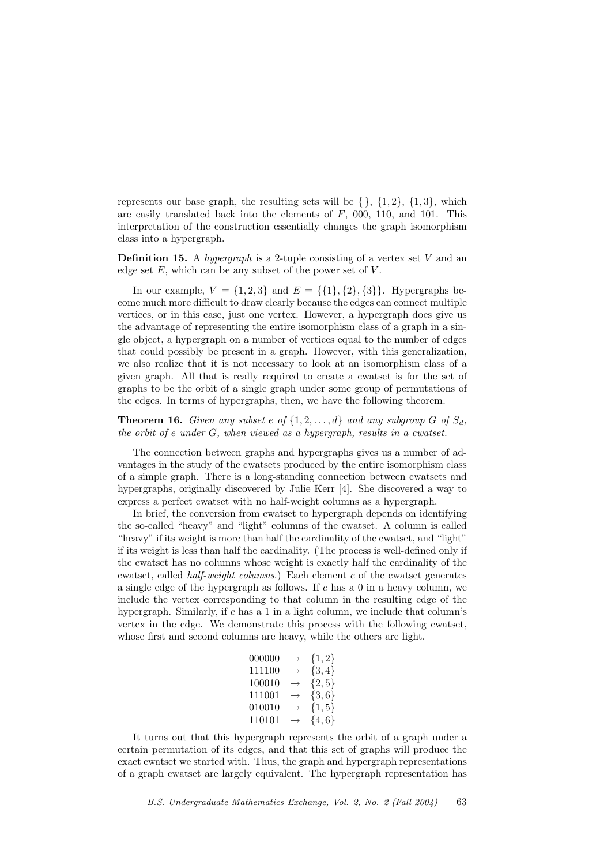represents our base graph, the resulting sets will be  $\{\}, \{1, 2\}, \{1, 3\},\$ are easily translated back into the elements of  $F$ , 000, 110, and 101. This interpretation of the construction essentially changes the graph isomorphism class into a hypergraph.

**Definition 15.** A *hypergraph* is a 2-tuple consisting of a vertex set V and an edge set  $E$ , which can be any subset of the power set of  $V$ .

In our example,  $V = \{1, 2, 3\}$  and  $E = \{\{1\}, \{2\}, \{3\}\}\$ . Hypergraphs become much more difficult to draw clearly because the edges can connect multiple vertices, or in this case, just one vertex. However, a hypergraph does give us the advantage of representing the entire isomorphism class of a graph in a single object, a hypergraph on a number of vertices equal to the number of edges that could possibly be present in a graph. However, with this generalization, we also realize that it is not necessary to look at an isomorphism class of a given graph. All that is really required to create a cwatset is for the set of graphs to be the orbit of a single graph under some group of permutations of the edges. In terms of hypergraphs, then, we have the following theorem.

**Theorem 16.** Given any subset e of  $\{1, 2, ..., d\}$  and any subgroup G of  $S_d$ , the orbit of  $e$  under  $G$ , when viewed as a hypergraph, results in a cwatset.

The connection between graphs and hypergraphs gives us a number of advantages in the study of the cwatsets produced by the entire isomorphism class of a simple graph. There is a long-standing connection between cwatsets and hypergraphs, originally discovered by Julie Kerr [4]. She discovered a way to express a perfect cwatset with no half-weight columns as a hypergraph.

In brief, the conversion from cwatset to hypergraph depends on identifying the so-called "heavy" and "light" columns of the cwatset. A column is called "heavy" if its weight is more than half the cardinality of the cwatset, and "light" if its weight is less than half the cardinality. (The process is well-defined only if the cwatset has no columns whose weight is exactly half the cardinality of the cwatset, called half-weight columns.) Each element c of the cwatset generates a single edge of the hypergraph as follows. If  $c$  has a 0 in a heavy column, we include the vertex corresponding to that column in the resulting edge of the hypergraph. Similarly, if c has a 1 in a light column, we include that column's vertex in the edge. We demonstrate this process with the following cwatset, whose first and second columns are heavy, while the others are light.

| 000000 | $\rightarrow$ | $\{1,2\}$  |
|--------|---------------|------------|
| 111100 | $\rightarrow$ | $\{3, 4\}$ |
| 100010 | $\rightarrow$ | $\{2, 5\}$ |
| 111001 | $\rightarrow$ | $\{3,6\}$  |
| 010010 | $\rightarrow$ | $\{1, 5\}$ |
| 110101 | $\rightarrow$ | $\{4,6\}$  |

It turns out that this hypergraph represents the orbit of a graph under a certain permutation of its edges, and that this set of graphs will produce the exact cwatset we started with. Thus, the graph and hypergraph representations of a graph cwatset are largely equivalent. The hypergraph representation has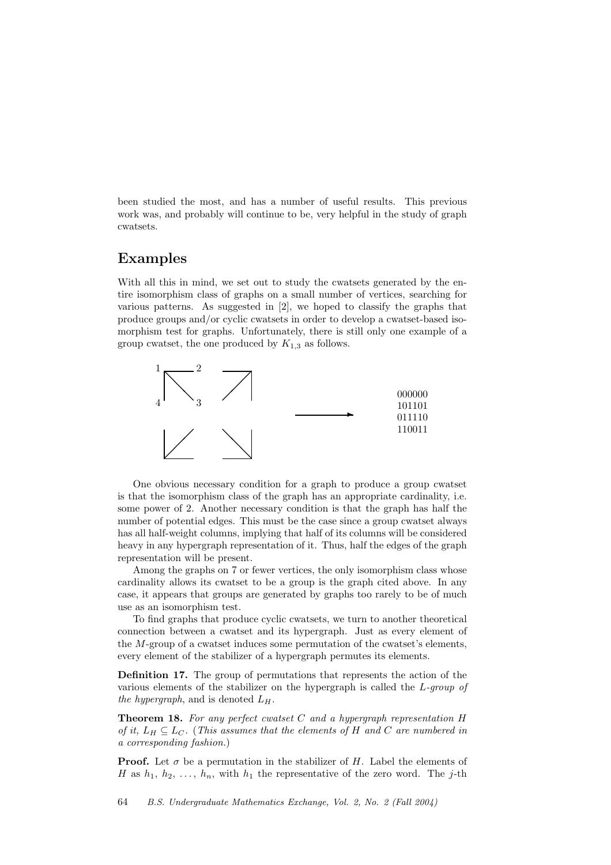been studied the most, and has a number of useful results. This previous work was, and probably will continue to be, very helpful in the study of graph cwatsets.

### Examples

With all this in mind, we set out to study the cwatsets generated by the entire isomorphism class of graphs on a small number of vertices, searching for various patterns. As suggested in [2], we hoped to classify the graphs that produce groups and/or cyclic cwatsets in order to develop a cwatset-based isomorphism test for graphs. Unfortunately, there is still only one example of a group cwatset, the one produced by  $K_{1,3}$  as follows.



One obvious necessary condition for a graph to produce a group cwatset is that the isomorphism class of the graph has an appropriate cardinality, i.e. some power of 2. Another necessary condition is that the graph has half the number of potential edges. This must be the case since a group cwatset always has all half-weight columns, implying that half of its columns will be considered heavy in any hypergraph representation of it. Thus, half the edges of the graph representation will be present.

Among the graphs on 7 or fewer vertices, the only isomorphism class whose cardinality allows its cwatset to be a group is the graph cited above. In any case, it appears that groups are generated by graphs too rarely to be of much use as an isomorphism test.

To find graphs that produce cyclic cwatsets, we turn to another theoretical connection between a cwatset and its hypergraph. Just as every element of the M-group of a cwatset induces some permutation of the cwatset's elements, every element of the stabilizer of a hypergraph permutes its elements.

Definition 17. The group of permutations that represents the action of the various elements of the stabilizer on the hypergraph is called the L-group of the hypergraph, and is denoted  $L_H$ .

**Theorem 18.** For any perfect cwatset C and a hypergraph representation  $H$ of it,  $L_H \subseteq L_C$ . (This assumes that the elements of H and C are numbered in a corresponding fashion.)

**Proof.** Let  $\sigma$  be a permutation in the stabilizer of H. Label the elements of H as  $h_1, h_2, \ldots, h_n$ , with  $h_1$  the representative of the zero word. The j-th

64 B.S. Undergraduate Mathematics Exchange, Vol. 2, No. 2 (Fall 2004)